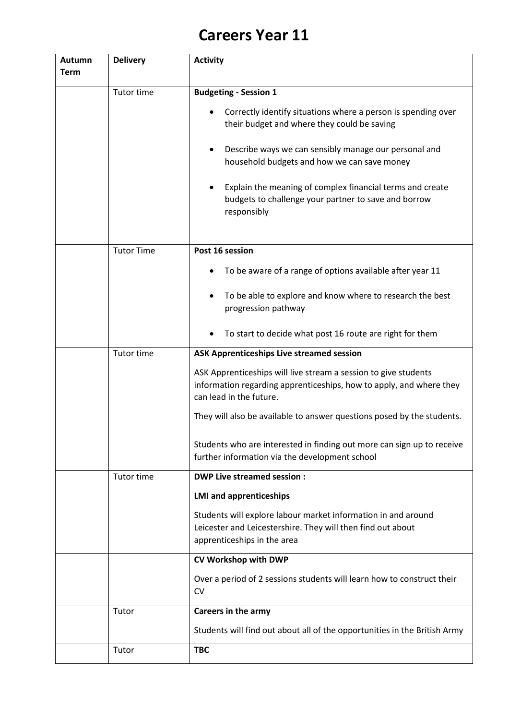## **Careers Year 11**

| <b>Autumn</b><br><b>Term</b> | <b>Delivery</b>   | <b>Activity</b>                                                                                                                                                   |
|------------------------------|-------------------|-------------------------------------------------------------------------------------------------------------------------------------------------------------------|
|                              | Tutor time        | <b>Budgeting - Session 1</b>                                                                                                                                      |
|                              |                   | Correctly identify situations where a person is spending over<br>their budget and where they could be saving                                                      |
|                              |                   | Describe ways we can sensibly manage our personal and<br>household budgets and how we can save money                                                              |
|                              |                   | Explain the meaning of complex financial terms and create<br>budgets to challenge your partner to save and borrow<br>responsibly                                  |
|                              | <b>Tutor Time</b> | Post 16 session                                                                                                                                                   |
|                              |                   | To be aware of a range of options available after year 11                                                                                                         |
|                              |                   | To be able to explore and know where to research the best<br>progression pathway                                                                                  |
|                              |                   | To start to decide what post 16 route are right for them                                                                                                          |
|                              | Tutor time        | <b>ASK Apprenticeships Live streamed session</b>                                                                                                                  |
|                              |                   | ASK Apprenticeships will live stream a session to give students<br>information regarding apprenticeships, how to apply, and where they<br>can lead in the future. |
|                              |                   | They will also be available to answer questions posed by the students.                                                                                            |
|                              |                   | Students who are interested in finding out more can sign up to receive<br>further information via the development school                                          |
|                              | <b>Tutor time</b> | <b>DWP Live streamed session:</b>                                                                                                                                 |
|                              |                   | <b>LMI and apprenticeships</b>                                                                                                                                    |
|                              |                   | Students will explore labour market information in and around<br>Leicester and Leicestershire. They will then find out about<br>apprenticeships in the area       |
|                              |                   | CV Workshop with DWP                                                                                                                                              |
|                              |                   | Over a period of 2 sessions students will learn how to construct their<br><b>CV</b>                                                                               |
|                              | Tutor             | Careers in the army                                                                                                                                               |
|                              |                   | Students will find out about all of the opportunities in the British Army                                                                                         |
|                              | Tutor             | <b>TBC</b>                                                                                                                                                        |